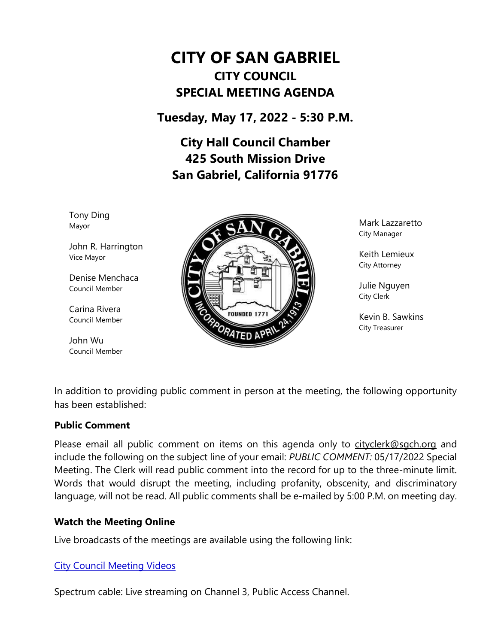# **CITY OF SAN GABRIEL CITY COUNCIL SPECIAL MEETING AGENDA**

**Tuesday, May 17, 2022 - 5:30 P.M.**

**City Hall Council Chamber 425 South Mission Drive San Gabriel, California 91776**

Tony Ding Mayor

John R. Harrington Vice Mayor

Denise Menchaca Council Member

Carina Rivera Council Member

John Wu Council Member



Mark Lazzaretto City Manager

Keith Lemieux City Attorney

Julie Nguyen City Clerk

Kevin B. Sawkins City Treasurer

In addition to providing public comment in person at the meeting, the following opportunity has been established:

#### **Public Comment**

Please email all public comment on items on this agenda only to [cityclerk@sgch.org](mailto:cityclerk@sgch.org) and include the following on the subject line of your email: *PUBLIC COMMENT:* 05/17/2022 Special Meeting. The Clerk will read public comment into the record for up to the three-minute limit. Words that would disrupt the meeting, including profanity, obscenity, and discriminatory language, will not be read. All public comments shall be e-mailed by 5:00 P.M. on meeting day.

## **Watch the Meeting Online**

Live broadcasts of the meetings are available using the following link:

## [City Council Meeting Videos](https://www.youtube.com/CityofSanGabriel)

Spectrum cable: Live streaming on Channel 3, Public Access Channel.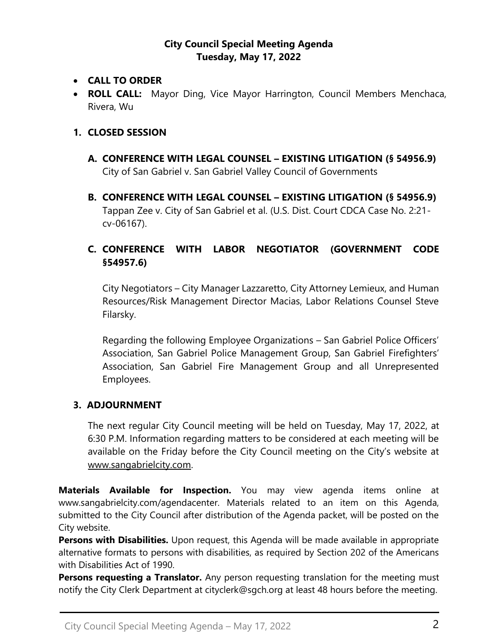#### **City Council Special Meeting Agenda Tuesday, May 17, 2022**

- **CALL TO ORDER**
- **ROLL CALL:** Mayor Ding, Vice Mayor Harrington, Council Members Menchaca, Rivera, Wu

#### **1. CLOSED SESSION**

- **A. CONFERENCE WITH LEGAL COUNSEL – EXISTING LITIGATION (§ 54956.9)** City of San Gabriel v. San Gabriel Valley Council of Governments
- **B. CONFERENCE WITH LEGAL COUNSEL – EXISTING LITIGATION (§ 54956.9)** Tappan Zee v. City of San Gabriel et al. (U.S. Dist. Court CDCA Case No. 2:21 cv-06167).

# **C. CONFERENCE WITH LABOR NEGOTIATOR (GOVERNMENT CODE §54957.6)**

City Negotiators – City Manager Lazzaretto, City Attorney Lemieux, and Human Resources/Risk Management Director Macias, Labor Relations Counsel Steve Filarsky.

Regarding the following Employee Organizations – San Gabriel Police Officers' Association, San Gabriel Police Management Group, San Gabriel Firefighters' Association, San Gabriel Fire Management Group and all Unrepresented Employees.

#### **3. ADJOURNMENT**

The next regular City Council meeting will be held on Tuesday, May 17, 2022, at 6:30 P.M. Information regarding matters to be considered at each meeting will be available on the Friday before the City Council meeting on the City's website at [www.sangabrielcity.com.](http://www.sangabrielcity.com/)

**Materials Available for Inspection.** You may view agenda items online at www.sangabrielcity.com/agendacenter. Materials related to an item on this Agenda, submitted to the City Council after distribution of the Agenda packet, will be posted on the City website.

**Persons with Disabilities.** Upon request, this Agenda will be made available in appropriate alternative formats to persons with disabilities, as required by Section 202 of the Americans with Disabilities Act of 1990.

**Persons requesting a Translator.** Any person requesting translation for the meeting must notify the City Clerk Department at cityclerk@sgch.org at least 48 hours before the meeting.